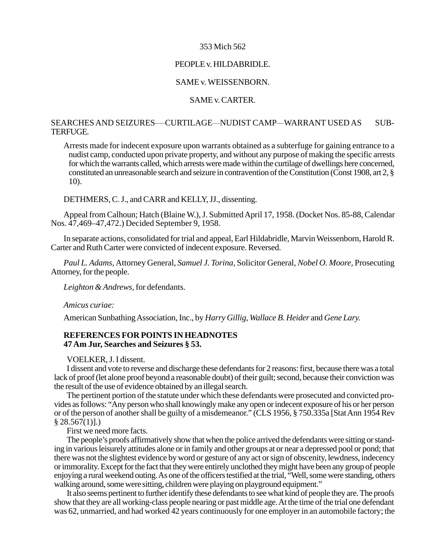### 353 Mich 562

# PEOPLE v. HILDABRIDLE.

# SAME v. WEISSENBORN.

#### SAME v. CARTER.

# SEARCHES AND SEIZURES—CURTILAGE—NUDIST CAMP—WARRANT USED AS SUB-TERFUGE.

Arrests made for indecent exposure upon warrants obtained as a subterfuge for gaining entrance to a nudist camp, conducted upon private property, and without any purpose of making the specific arrests for which the warrants called, which arrests were made within the curtilage of dwellings here concerned, constituted an unreasonable search and seizure in contravention of the Constitution (Const 1908, art 2, § 10).

DETHMERS, C. J., and CARR and KELLY, JJ., dissenting.

Appeal from Calhoun; Hatch (Blaine W.), J. Submitted April 17, 1958. (Docket Nos. 85-88, Calendar Nos. 47,469–47,472.) Decided September 9, 1958.

In separate actions, consolidated for trial and appeal, Earl Hildabridle, Marvin Weissenborn, Harold R. Carter and Ruth Carter were convicted of indecent exposure. Reversed.

*Paul L. Adams,* Attorney General, *Samuel J. Torina,* Solicitor General, *Nobel O. Moore,* Prosecuting Attorney, for the people.

*Leighton & Andrews,* for defendants.

*Amicus curiae:*

American Sunbathing Association, Inc., by *Harry Gillig, Wallace B. Heider* and *Gene Lary.*

# **REFERENCES FOR POINTS IN HEADNOTES 47 Am Jur, Searches and Seizures § 53.**

### VOELKER, J. I dissent.

I dissent and vote to reverse and discharge these defendants for 2 reasons: first, because there was a total lack of proof (let alone proof beyond a reasonable doubt) of their guilt; second, because their conviction was the result of the use of evidence obtained by an illegal search.

The pertinent portion of the statute under which these defendants were prosecuted and convicted provides as follows: "Any person who shall knowingly make any open or indecent exposure of his or her person or of the person of another shall be guilty of a misdemeanor." (CLS 1956, § 750.335a [Stat Ann 1954 Rev  $§ 28.567(1)].$ 

First we need more facts.

The people's proofs affirmatively show that when the police arrived the defendants were sitting or standing in various leisurely attitudes alone or in family and other groups at or near a depressed pool or pond; that there was not the slightest evidence by word or gesture of any act or sign of obscenity, lewdness, indecency or immorality. Except for the fact that they were entirely unclothed they might have been any group of people enjoying a rural weekend outing. As one of the officers testified at the trial, "Well, some were standing, others walking around, some were sitting, children were playing on playground equipment."

It also seems pertinent to further identify these defendants to see what kind of people they are. The proofs show that they are all working-class people nearing or past middle age. At the time of the trial one defendant was 62, unmarried, and had worked 42 years continuously for one employer in an automobile factory; the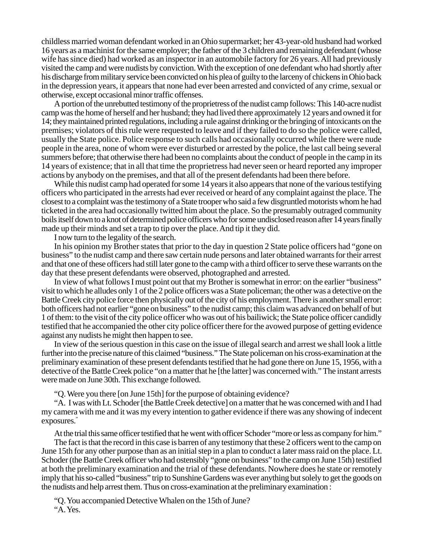childless married woman defendant worked in an Ohio supermarket; her 43-year-old husband had worked 16 years as a machinist for the same employer; the father of the 3 children and remaining defendant (whose wife has since died) had worked as an inspector in an automobile factory for 26 years. All had previously visited the camp and were nudists by conviction. With the exception of one defendant who had shortly after his discharge from military service been convicted on his plea of guilty to the larceny of chickens in Ohio back in the depression years, it appears that none had ever been arrested and convicted of any crime, sexual or otherwise, except occasional minor traffic offenses.

A portion of the unrebutted testimony of the proprietress of the nudist camp follows: This 140-acre nudist camp was the home of herself and her husband; they had lived there approximately 12 years and owned it for 14; they maintained printed regulations, including a rule against drinking or the bringing of intoxicants on the premises; violators of this rule were requested to leave and if they failed to do so the police were called, usually the State police. Police response to such calls had occasionally occurred while there were nude people in the area, none of whom were ever disturbed or arrested by the police, the last call being several summers before; that otherwise there had been no complaints about the conduct of people in the camp in its 14 years of existence; that in all that time the proprietress had never seen or heard reported any improper actions by anybody on the premises, and that all of the present defendants had been there before.

While this nudist camp had operated for some 14 years it also appears that none of the various testifying officers who participated in the arrests had ever received or heard of any complaint against the place. The closest to a complaint was the testimony of a State trooper who said a few disgruntled motorists whom he had ticketed in the area had occasionally twitted him about the place. So the presumably outraged community boils itself down to a knot of determined police officers who for some undisclosed reason after 14 years finally made up their minds and set a trap to tip over the place. And tip it they did.

I now turn to the legality of the search.

In his opinion my Brother states that prior to the day in question 2 State police officers had "gone on business" to the nudist camp and there saw certain nude persons and later obtained warrants for their arrest and that one of these officers had still later gone to the camp with a third officer to serve these warrants on the day that these present defendants were observed, photographed and arrested.

In view of what follows I must point out that my Brother is somewhat in error: on the earlier "business" visit to which he alludes only 1 of the 2 police officers was a State policeman; the other was a detective on the Battle Creek city police force then physically out of the city of his employment. There is another small error: both officers had not earlier "gone on business" to the nudist camp; this claim was advanced on behalf of but 1 of them: to the visit of the city police officer who was out of his bailiwick; the State police officer candidly testified that he accompanied the other city police officer there for the avowed purpose of getting evidence against any nudists he might then happen to see.

In view of the serious question in this case on the issue of illegal search and arrest we shall look a little further into the precise nature of this claimed "business." The State policeman on his cross-examination at the preliminary examination of these present defendants testified that he had gone there on June 15, 1956, with a detective of the Battle Creek police "on a matter that he [the latter] was concerned with." The instant arrests were made on June 30th. This exchange followed.

"Q. Were you there [on June 15th] for the purpose of obtaining evidence?

"A. I was with Lt. Schoder [the Battle Creek detective] on a matter that he was concerned with and I had my camera with me and it was my every intention to gather evidence if there was any showing of indecent exposures."

At the trial this same officer testified that he went with officer Schoder "more or less as company for him."

The fact is that the record in this case is barren of any testimony that these 2 officers went to the camp on June 15th for any other purpose than as an initial step in a plan to conduct a later mass raid on the place. Lt. Schoder (the Battle Creek officer who had ostensibly "gone on business" to the camp on June 15th) testified at both the preliminary examination and the trial of these defendants. Nowhere does he state or remotely imply that his so-called "business" trip to Sunshine Gardens was ever anything but solely to get the goods on the nudists and help arrest them. Thus on cross-examination at the preliminary examination :

"Q. You accompanied Detective Whalen on the 15th of June? "A. Yes.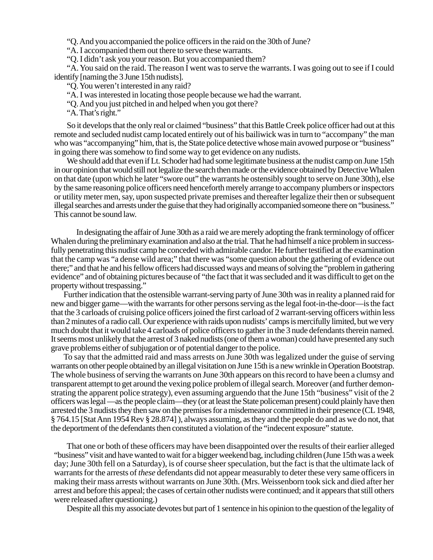"Q. And you accompanied the police officers in the raid on the 30th of June?

"A. I accompanied them out there to serve these warrants.

"Q. I didn't ask you your reason. But you accompanied them?

"A. You said on the raid. The reason I went was to serve the warrants. I was going out to see if I could identify [naming the 3 June 15th nudists].

"Q. You weren't interested in any raid?

"A. I was interested in locating those people because we had the warrant.

"Q. And you just pitched in and helped when you got there?

"A. That's right."

So it develops that the only real or claimed "business" that this Battle Creek police officer had out at this remote and secluded nudist camp located entirely out of his bailiwick was in turn to "accompany" the man who was "accompanying" him, that is, the State police detective whose main avowed purpose or "business" in going there was somehow to find some way to get evidence on any nudists.

We should add that even if Lt. Schoder had had some legitimate business at the nudist camp on June 15th in our opinion that would still not legalize the search then made or the evidence obtained by Detective Whalen on that date (upon which he later "swore out" the warrants he ostensibly sought to serve on June 30th), else by the same reasoning police officers need henceforth merely arrange to accompany plumbers or inspectors or utility meter men, say, upon suspected private premises and thereafter legalize their then or subsequent illegal searches and arrests under the guise that they had originally accompanied someone there on "business." This cannot be sound law.

In designating the affair of June 30th as a raid we are merely adopting the frank terminology of officer Whalen during the preliminary examination and also at the trial. That he had himself a nice problem in successfully penetrating this nudist camp he conceded with admirable candor. He further testified at the examination that the camp was "a dense wild area;" that there was "some question about the gathering of evidence out there;" and that he and his fellow officers had discussed ways and means of solving the "problem in gathering evidence" and of obtaining pictures because of "the fact that it was secluded and it was difficult to get on the property without trespassing."

Further indication that the ostensible warrant-serving party of June 30th was in reality a planned raid for new and bigger game—with the warrants for other persons serving as the legal foot-in-the-door—is the fact that the 3 carloads of cruising police officers joined the first carload of 2 warrant-serving officers within less than 2 minutes of a radio call. Our experience with raids upon nudists' camps is mercifully limited, but we very much doubt that it would take 4 carloads of police officers to gather in the 3 nude defendants therein named. It seems most unlikely that the arrest of 3 naked nudists (one of them a woman) could have presented any such grave problems either of subjugation or of potential danger to the police.

To say that the admitted raid and mass arrests on June 30th was legalized under the guise of serving warrants on other people obtained by an illegal visitation on June 15th is a new wrinkle in Operation Bootstrap. The whole business of serving the warrants on June 30th appears on this record to have been a clumsy and transparent attempt to get around the vexing police problem of illegal search. Moreover (and further demonstrating the apparent police strategy), even assuming arguendo that the June 15th "business" visit of the 2 officers was legal —as the people claim—they (or at least the State policeman present) could plainly have then arrested the 3 nudists they then saw on the premises for a misdemeanor committed in their presence (CL 1948, § 764.15 [Stat Ann 1954 Rev § 28.874] ), always assuming, as they and the people do and as we do not, that the deportment of the defendants then constituted a violation of the "indecent exposure" statute.

That one or both of these officers may have been disappointed over the results of their earlier alleged "business" visit and have wanted to wait for a bigger weekend bag, including children (June 15th was a week day; June 30th fell on a Saturday), is of course sheer speculation, but the fact is that the ultimate lack of warrants for the arrests of *these* defendants did not appear measurably to deter these very same officers in making their mass arrests without warrants on June 30th. (Mrs. Weissenborn took sick and died after her arrest and before this appeal; the cases of certain other nudists were continued; and it appears that still others were released after questioning.)

Despite all this my associate devotes but part of 1 sentence in his opinion to the question of the legality of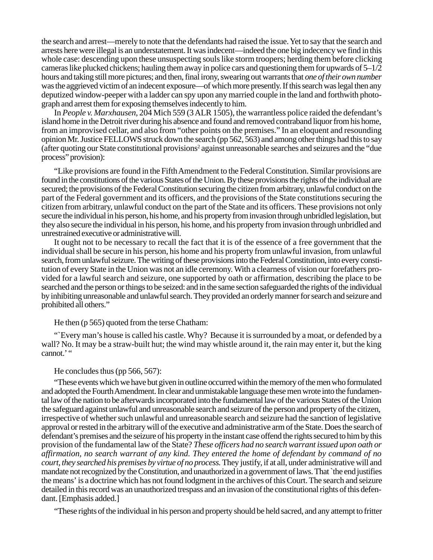the search and arrest—merely to note that the defendants had raised the issue. Yet to say that the search and arrests here were illegal is an understatement. It was indecent—indeed the one big indecency we find in this whole case: descending upon these unsuspecting souls like storm troopers; herding them before clicking cameras like plucked chickens; hauling them away in police cars and questioning them for upwards of  $5-1/2$ hours and taking still more pictures; and then, final irony, swearing out warrants that *one of their own number* was the aggrieved victim of an indecent exposure—of which more presently. If this search was legal then any deputized window-peeper with a ladder can spy upon any married couple in the land and forthwith photograph and arrest them for exposing themselves indecently to him.

In *People v. Marxhausen,* 204 Mich 559 (3 ALR 1505), the warrantless police raided the defendant's island home in the Detroit river during his absence and found and removed contraband liquor from his home, from an improvised cellar, and also from "other points on the premises." In an eloquent and resounding opinion Mr. Justice FELLOWS struck down the search (pp 562, 563) and among other things had this to say (after quoting our State constitutional provisions<sup>2</sup> against unreasonable searches and seizures and the "due process" provision):

"Like provisions are found in the Fifth Amendment to the Federal Constitution. Similar provisions are found in the constitutions of the various States of the Union. By these provisions the rights of the individual are secured; the provisions of the Federal Constitution securing the citizen from arbitrary, unlawful conduct on the part of the Federal government and its officers, and the provisions of the State constitutions securing the citizen from arbitrary, unlawful conduct on the part of the State and its officers. These provisions not only secure the individual in his person, his home, and his property from invasion through unbridled legislation, but they also secure the individual in his person, his home, and his property from invasion through unbridled and unrestrained executive or administrative will.

It ought not to be necessary to recall the fact that it is of the essence of a free government that the individual shall be secure in his person, his home and his property from unlawful invasion, from unlawful search, from unlawful seizure. The writing of these provisions into the Federal Constitution, into every constitution of every State in the Union was not an idle ceremony. With a clearness of vision our forefathers provided for a lawful search and seizure, one supported by oath or affirmation, describing the place to be searched and the person or things to be seized: and in the same section safeguarded the rights of the individual by inhibiting unreasonable and unlawful search. They provided an orderly manner for search and seizure and prohibited all others."

#### He then (p 565) quoted from the terse Chatham:

"`Every man's house is called his castle. Why? Because it is surrounded by a moat, or defended by a wall? No. It may be a straw-built hut; the wind may whistle around it, the rain may enter it, but the king cannot.'"

#### He concludes thus (pp 566, 567):

"These events which we have but given in outline occurred within the memory of the men who formulated and adopted the Fourth Amendment. In clear and unmistakable language these men wrote into the fundamental law of the nation to be afterwards incorporated into the fundamental law of the various States of the Union the safeguard against unlawful and unreasonable search and seizure of the person and property of the citizen, irrespective of whether such unlawful and unreasonable search and seizure had the sanction of legislative approval or rested in the arbitrary will of the executive and administrative arm of the State. Does the search of defendant's premises and the seizure of his property in the instant case offend the rights secured to him bythis provision of the fundamental law of the State? *These officers had no search warrant issued upon oath or affirmation, no search warrant of any kind. They entered the home of defendant by command of no court, they searched his premises by virtue of no process.* They justify, if at all, under administrative will and mandate not recognized by the Constitution, and unauthorized in a government of laws. That `the end justifies the means' is a doctrine which has not found lodgment in the archives of this Court. The search and seizure detailed in this record was an unauthorized trespass and an invasion of the constitutional rights of this defendant. [Emphasis added.]

"These rights of the individual in his person and property should be held sacred, and any attempt to fritter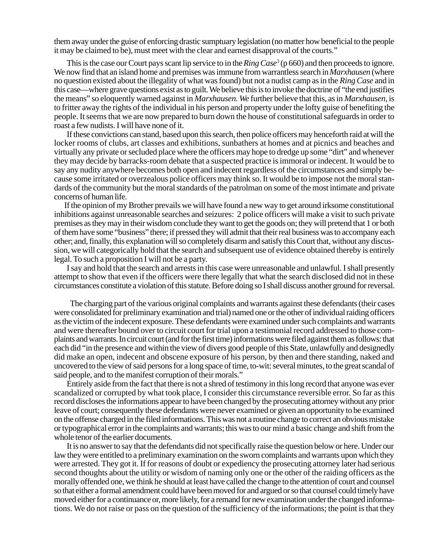them away under the guise of enforcing drastic sumptuary legislation (no matter how beneficial to the people it may be claimed to be), must meet with the clear and earnest disapproval of the courts."

This is the case our Court pays scant lip service to in the *Ring Case*<sup>3</sup> (p 660) and then proceeds to ignore. We now find that an island home and premises was immune from warrantless search in *Marxhausen* (where no question existed about the illegality of what was found) but not a nudist camp as in the *Ring Case* and in this case—where grave questions exist as to guilt. We believe this is to invoke the doctrine of "the end justifies the means" so eloquently warned against in *Marxhausen. We* further believe that this, as in *Marxhausen*, is to fritter away the rights of the individual in his person and property under the lofty guise of benefiting the people. It seems that we are now prepared to burn down the house of constitutional safeguards in order to roast a few nudists. I will have none of it.

If these convictions can stand, based upon this search, then police officers may henceforth raid at will the locker rooms of clubs, art classes and exhibitions, sunbathers at homes and at picnics and beaches and virtually any private or secluded place where the officers may hope to dredge up some "dirt" and whenever they may decide by barracks-room debate that a suspected practice is immoral or indecent. It would be to say any nudity anywhere becomes both open and indecent regardless of the circumstances and simply because some irritated or overzealous police officers may think so. It would be to impose not the moral standards of the community but the moral standards of the patrolman on some of the most intimate and private concerns of human life.

If the opinion of my Brother prevails we will have found a new way to get around irksome constitutional inhibitions against unreasonable searches and seizures: 2 police officers will make a visit to such private premises as they may in their wisdom conclude they want to get the goods on; they will pretend that 1 or both of them have some "business" there; if pressed they will admit that their real business was to accompany each other; and, finally, this explanation will so completely disarm and satisfy this Court that, without any discussion, we will categorically hold that the search and subsequent use of evidence obtained thereby is entirely legal. To such a proposition I will not be a party.

I say and hold that the search and arrests in this case were unreasonable and unlawful. I shall presently attempt to show that even if the officers were there legally that what the search disclosed did not in these circumstances constitute a violation of this statute. Before doing so I shall discuss another ground for reversal.

The charging part of the various original complaints and warrants against these defendants (their cases were consolidated for preliminary examination and trial) named one or the other of individual raiding officers as the victim of the indecent exposure. These defendants were examined under such complaints and warrants and were thereafter bound over to circuit court for trial upon a testimonial record addressed to those complaints and warrants. In circuit court (and for the first time) informations were filed against them as follows: that each did "in the presence and within the view of divers good people of this State, unlawfully and designedly did make an open, indecent and obscene exposure of his person, by then and there standing, naked and uncovered to the view of said persons for a long space of time, to-wit: several minutes, to the great scandal of said people, and to the manifest corruption of their morals."

Entirely aside from the fact that there is not a shred of testimony in this long record that anyone was ever scandalized or corrupted by what took place, I consider this circumstance reversible error. So far as this record discloses the informations appear to have been changed by the prosecuting attorney without any prior leave of court; consequently these defendants were never examined or given an opportunity to be examined on the offense charged in the filed informations. This was not a routine change to correct an obvious mistake or typographical error in the complaints and warrants; this was to our mind a basic change and shift from the whole tenor of the earlier documents.

It is no answer to say that the defendants did not specifically raise the question below or here. Under our law they were entitled to a preliminary examination on the sworn complaints and warrants upon which they were arrested. They got it. If for reasons of doubt or expediency the prosecuting attorney later had serious second thoughts about the utility or wisdom of naming only one or the other of the raiding officers as the morally offended one, we think he should at least have called the change to the attention of court and counsel so that either a formal amendment could have been moved for and argued or so that counsel could timely have moved either for a continuance or, more likely, for a remand for new examination under the changed informations. We do not raise or pass on the question of the sufficiency of the informations; the point is that they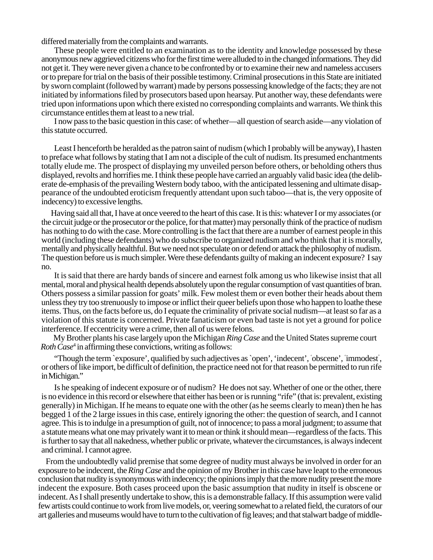differed materially from the complaints and warrants.

These people were entitled to an examination as to the identity and knowledge possessed by these anonymous new aggrieved citizens who for the first time were alluded to in the changed informations. They did not get it. They were never given a chance to be confronted by or to examine their new and nameless accusers or to prepare for trial on the basis of their possible testimony. Criminal prosecutions in this State are initiated by sworn complaint (followed by warrant) made by persons possessing knowledge of the facts; they are not initiated by informations filed by prosecutors based upon hearsay. Put another way, these defendants were tried upon informations upon which there existed no corresponding complaints and warrants. We think this circumstance entitles them at least to a new trial.

I now pass to the basic question in this case: of whether—all question of search aside—any violation of this statute occurred.

Least I henceforth be heralded as the patron saint of nudism (which I probably will be anyway), I hasten to preface what follows by stating that I am not a disciple of the cult of nudism. Its presumed enchantments totally elude me. The prospect of displaying my unveiled person before others, or beholding others thus displayed, revolts and horrifies me. I think these people have carried an arguably valid basic idea (the deliberate de-emphasis of the prevailing Western body taboo, with the anticipated lessening and ultimate disappearance of the undoubted eroticism frequently attendant upon such taboo—that is, the very opposite of indecency) to excessive lengths.

Having said all that, I have at once veered to the heart of this case. It is this: whatever I or my associates (or the circuit judge or the prosecutor or the police, for that matter) may personally think of the practice of nudism has nothing to do with the case. More controlling is the fact that there are a number of earnest people in this world (including these defendants) who do subscribe to organized nudism and who think that it is morally, mentally and physically healthful. But we need not speculate on or defend or attack the philosophy of nudism. The question before us is much simpler. Were these defendants guilty of making an indecent exposure? I say no.

It is said that there are hardy bands of sincere and earnest folk among us who likewise insist that all mental, moral and physical health depends absolutely upon the regular consumption of vast quantities of bran. Others possess a similar passion for goats' milk. Few molest them or even bother their heads about them unless they try too strenuously to impose or inflict their queer beliefs upon those who happen to loathe these items. Thus, on the facts before us, do I equate the criminality of private social nudism—at least so far as a violation of this statute is concerned. Private fanaticism or even bad taste is not yet a ground for police interference. If eccentricity were a crime, then all of us were felons.

My Brother plants his case largely upon the Michigan *Ring Case* and the United States supreme court *Roth Case*<sup>4</sup> in affirming these convictions, writing as follows:

"Though the term `exposure', qualified by such adjectives as `open', 'indecent', 'obscene', 'immodest', or others of like import, be difficult of definition, the practice need not for that reason be permitted to run rife in Michigan."

Is he speaking of indecent exposure or of nudism? He does not say. Whether of one or the other, there is no evidence in this record or elsewhere that either has been or is running "rife" (that is: prevalent, existing generally) in Michigan. If he means to equate one with the other (as he seems clearly to mean) then he has begged 1 of the 2 large issues in this case, entirely ignoring the other: the question of search, and I cannot agree. This is to indulge in a presumption of guilt, not of innocence; to pass a moral judgment; to assume that a statute means what one may privately want it to mean or think it should mean—regardless of the facts. This is further to say that all nakedness, whether public or private, whatever the circumstances, is always indecent and criminal. I cannot agree.

From the undoubtedly valid premise that some degree of nudity must always be involved in order for an exposure to be indecent, the *Ring Case* and the opinion of my Brother in this case have leapt to the erroneous conclusion that nudity is synonymous with indecency; the opinions imply that the more nudity present the more indecent the exposure. Both cases proceed upon the basic assumption that nudity in itself is obscene or indecent. As I shall presently undertake to show, this is a demonstrable fallacy. If this assumption were valid few artists could continue to work from live models, or, veering somewhat to a related field, the curators of our art galleries and museums would have to turn to the cultivation of fig leaves; and that stalwart badge of middle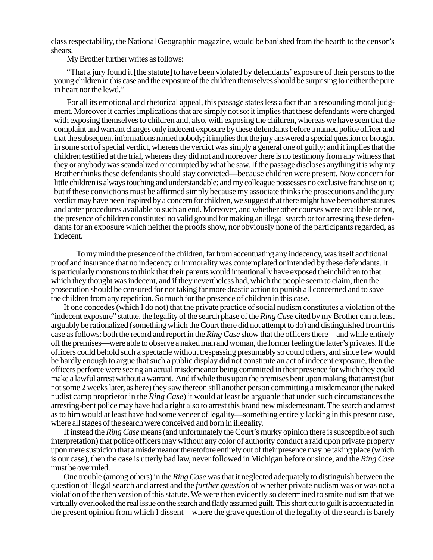class respectability, the National Geographic magazine, would be banished from the hearth to the censor's shears.

My Brother further writes as follows:

"That a jury found it [the statute] to have been violated by defendants' exposure of their persons to the young children in this case and the exposure of the children themselves should be surprising to neither the pure in heart nor the lewd."

For all its emotional and rhetorical appeal, this passage states less a fact than a resounding moral judgment. Moreover it carries implications that are simply not so: it implies that these defendants were charged with exposing themselves to children and, also, with exposing the children, whereas we have seen that the complaint and warrant charges only indecent exposure by these defendants before a named police officer and that the subsequent informations named nobody; it implies that the jury answered a special question or brought in some sort of special verdict, whereas the verdict was simply a general one of guilty; and it implies that the children testified at the trial, whereas they did not and moreover there is no testimony from any witness that they or anybody was scandalized or corrupted by what he saw. If the passage discloses anything it is why my Brother thinks these defendants should stay convicted—because children were present. Now concern for little children is always touching and understandable; and my colleague possesses no exclusive franchise on it; but if these convictions must be affirmed simply because my associate thinks the prosecutions and the jury verdict may have been inspired by a concern for children, we suggest that there might have been other statutes and apter procedures available to such an end. Moreover, and whether other courses were available or not, the presence of children constituted no valid ground for making an illegal search or for arresting these defendants for an exposure which neither the proofs show, nor obviously none of the participants regarded, as indecent.

To my mind the presence of the children, far from accentuating any indecency, was itself additional proof and insurance that no indecency or immorality was contemplated or intended by these defendants. It is particularly monstrous to think that their parents would intentionally have exposed their children to that which they thought was indecent, and if they nevertheless had, which the people seem to claim, then the prosecution should be censured for not taking far more drastic action to punish all concerned and to save the children from any repetition. So much for the presence of children in this case.

If one concedes (which I do not) that the private practice of social nudism constitutes a violation of the "indecent exposure" statute, the legality of the search phase of the *Ring Case* cited by my Brother can at least arguably be rationalized (something which the Court there did not attempt to do) and distinguished from this case as follows: both the record and report in the *Ring Case* show that the officers there—and while entirely off the premises—were able to observe a naked man and woman, the former feeling the latter's privates. If the officers could behold such a spectacle without trespassing presumably so could others, and since few would be hardly enough to argue that such a public display did not constitute an act of indecent exposure, then the officers perforce were seeing an actual misdemeanor being committed in their presence for which they could make a lawful arrest without a warrant. And if while thus upon the premises bent upon making that arrest (but not some 2 weeks later, as here) they saw thereon still another person committing a misdemeanor (the naked nudist camp proprietor in the *Ring Case*) it would at least be arguable that under such circumstances the arresting-bent police may have had a right also to arrest this brand new misdemeanant. The search and arrest as to him would at least have had some veneer of legality—something entirely lacking in this present case, where all stages of the search were conceived and born in illegality.

If instead the *Ring Case* means (and unfortunately the Court's murky opinion there is susceptible of such interpretation) that police officers may without any color of authority conduct a raid upon private property upon mere suspicion that a misdemeanor theretofore entirely out of their presence may be taking place (which is our case), then the case is utterly bad law, never followed in Michigan before or since, and the *Ring Case* must be overruled.

One trouble (among others) in the *Ring Case* was that it neglected adequately to distinguish between the question of illegal search and arrest and the *further question* of whether private nudism was or was not a violation of the then version of this statute. We were then evidently so determined to smite nudism that we virtually overlooked the real issue on the search and flatly assumed guilt. This short cut to guilt is accentuated in the present opinion from which I dissent—where the grave question of the legality of the search is barely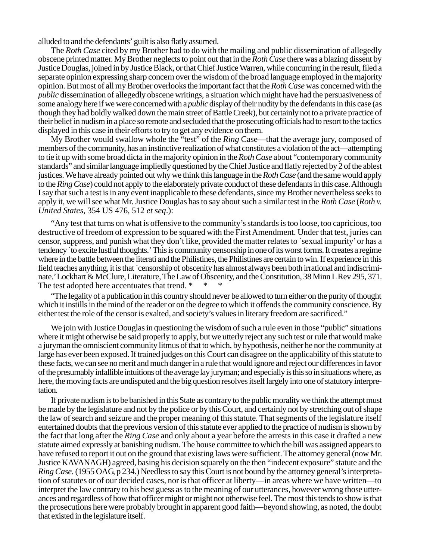alluded to and the defendants' guilt is also flatly assumed.

The *Roth Case* cited by my Brother had to do with the mailing and public dissemination of allegedly obscene printed matter. My Brother neglects to point out that in the *Roth Case* there was a blazing dissent by Justice Douglas, joined in by Justice Black, or that Chief Justice Warren, while concurring in the result, filed a separate opinion expressing sharp concern over the wisdom of the broad language employed in the majority opinion. But most of all my Brother overlooks the important fact that the *Roth Case* was concerned with the *public* dissemination of allegedly obscene writings, a situation which might have had the persuasiveness of some analogy here if we were concerned with a *public* display of their nudity by the defendants in this case (as though they had boldly walked down the main street of Battle Creek), but certainly not to a private practice of their belief in nudism in a place so remote and secluded that the prosecuting officials had to resort to the tactics displayed in this case in their efforts to try to get any evidence on them.

My Brother would swallow whole the "test" of the *Ring* Case—that the average jury, composed of members of the community, has an instinctive realization of what constitutes a violation of the act—attempting to tie it up with some broad dicta in the majority opinion in the *Roth Case* about "contemporary community standards" and similar language impliedly questioned by the Chief Justice and flatly rejected by 2 of the ablest justices. We have already pointed out why we think this language in the *Roth Case* (and the same would apply to the *Ring Case*) could not apply to the elaborately private conduct of these defendants in this case. Although I say that such a test is in any event inapplicable to these defendants, since my Brother nevertheless seeks to apply it, we will see what Mr. Justice Douglas has to say about such a similar test in the *Roth Case* (*Roth v. United States,* 354 US 476, 512 *et seq*.):

"Any test that turns on what is offensive to the community's standards is too loose, too capricious, too destructive of freedom of expression to be squared with the First Amendment. Under that test, juries can censor, suppress, and punish what they don't like, provided the matter relates to `sexual impurity' or has a tendency `to excite lustful thoughts.' This is community censorship in one of its worst forms. It creates a regime where in the battle between the literati and the Philistines, the Philistines are certain to win. If experience in this field teaches anything, it is that `censorship of obscenity has almost always been both irrational and indiscriminate.' Lockhart & McClure, Literature, The Law of Obscenity, and the Constitution, 38 Minn L Rev 295, 371. The test adopted here accentuates that trend. \* \*

"The legality of a publication in this country should never be allowed to turn either on the purity of thought which it instills in the mind of the reader or on the degree to which it offends the community conscience. By either test the role of the censor is exalted, and society's values in literary freedom are sacrificed."

We join with Justice Douglas in questioning the wisdom of such a rule even in those "public" situations where it might otherwise be said properly to apply, but we utterly reject any such test or rule that would make a juryman the omniscient community litmus of that to which, by hypothesis, neither he nor the community at large has ever been exposed. If trained judges on this Court can disagree on the applicability of this statute to these facts, we can see no merit and much danger in a rule that would ignore and reject our differences in favor of the presumably infallible intuitions of the average lay juryman; and especially is this so in situations where, as here, the moving facts are undisputed and the big question resolves itself largely into one of statutory interpretation.

If private nudism is to be banished in this State as contrary to the public morality we think the attempt must be made by the legislature and not by the police or by this Court, and certainly not by stretching out of shape the law of search and seizure and the proper meaning of this statute. That segments of the legislature itself entertained doubts that the previous version of this statute ever applied to the practice of nudism is shown by the fact that long after the *Ring Case* and only about a year before the arrests in this case it drafted a new statute aimed expressly at banishing nudism. The house committee to which the bill was assigned appears to have refused to report it out on the ground that existing laws were sufficient. The attorney general (now Mr. Justice KAVANAGH) agreed, basing his decision squarely on the then "indecent exposure" statute and the *Ring Case.* (1955 OAG, p 234.) Needless to say this Court is not bound by the attorney general's interpretation of statutes or of our decided cases, nor is that officer at liberty—in areas where we have written—to interpret the law contrary to his best guess as to the meaning of our utterances, however wrong those utterances and regardless of how that officer might or might not otherwise feel. The most this tends to show is that the prosecutions here were probably brought in apparent good faith—beyond showing, as noted, the doubt that existed in the legislature itself.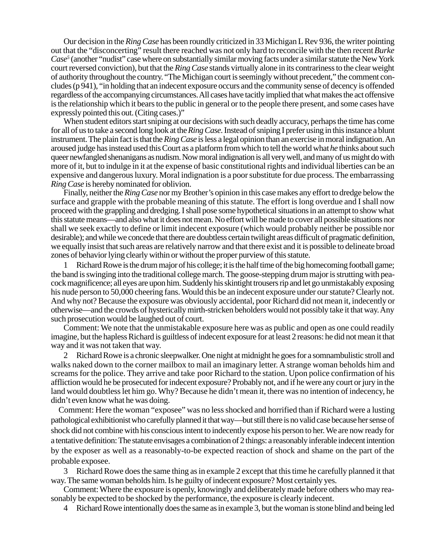Our decision in the *Ring Case* has been roundly criticized in 33 Michigan L Rev 936, the writer pointing out that the "disconcerting" result there reached was not only hard to reconcile with the then recent *Burke Case5* (another "nudist" case where on substantially similar moving facts under a similar statute the New York court reversed conviction), but that the *Ring Case* stands virtually alone in its contrariness to the clear weight of authority throughout the country. "The Michigan court is seemingly without precedent," the comment concludes (p 941), "in holding that an indecent exposure occurs and the community sense of decency is offended regardless of the accompanying circumstances. All cases have tacitly implied that what makes the act offensive is the relationship which it bears to the public in general or to the people there present, and some cases have expressly pointed this out. (Citing cases.)"

When student editors start sniping at our decisions with such deadly accuracy, perhaps the time has come for all of us to take a second long look at the *Ring Case.* Instead of sniping I prefer using in this instance a blunt instrument. The plain fact is thatthe *Ring Case* is less a legal opinion than an exercise in moral indignation. An aroused judge has instead used this Court as a platform from which to tell the world what *he* thinks about such queer newfangled shenanigans as nudism. Now moral indignation is all very well, and many of us might do with more of it, but to indulge in it at the expense of basic constitutional rights and individual liberties can be an expensive and dangerous luxury. Moral indignation is a poor substitute for due process. The embarrassing *Ring Case* is hereby nominated for oblivion.

Finally, neither the *Ring Case* nor my Brother's opinion in this case makes any effort to dredge below the surface and grapple with the probable meaning of this statute. The effort is long overdue and I shall now proceed with the grappling and dredging. I shall pose some hypothetical situations in an attempt to show what this statute means—and also what it does not mean. No effort will be made to cover all possible situations nor shall we seek exactly to define or limit indecent exposure (which would probably neither be possible nor desirable); and while we concede that there are doubtless certain twilight areas difficult of pragmatic definition, we equally insist that such areas are relatively narrow and that there exist and it is possible to delineate broad zones of behavior lying clearly within or without the proper purview of this statute.

Richard Rowe is the drum major of his college; it is the half time of the big homecoming football game; the band is swinging into the traditional college march. The goose-stepping drum major is strutting with peacock magnificence; all eyes are upon him. Suddenly his skintight trousers rip and let go unmistakably exposing his nude person to 50,000 cheering fans. Would this be an indecent exposure under our statute? Clearly not. And why not? Because the exposure was obviously accidental, poor Richard did not mean it, indecently or otherwise—and the crowds of hysterically mirth-stricken beholders would not possibly take it that way. Any such prosecution would be laughed out of court.

Comment: We note that the unmistakable exposure here was as public and open as one could readily imagine, but the hapless Richard is guiltless of indecent exposure for at least 2 reasons: he did not mean it that way and it was not taken that way.

2 Richard Rowe is a chronic sleepwalker. One night at midnight he goes for a somnambulistic stroll and walks naked down to the corner mailbox to mail an imaginary letter. A strange woman beholds him and screams for the police. They arrive and take poor Richard to the station. Upon police confirmation of his affliction would he be prosecuted for indecent exposure? Probably not, and if he were any court or jury in the land would doubtless let him go. Why? Because he didn't mean it, there was no intention of indecency, he didn't even know what he was doing.

Comment: Here the woman "exposee" was no less shocked and horrified than if Richard were a lusting pathological exhibitionist who carefully planned it that way—but still there is no valid case because her sense of shock did not combine with his conscious intent to indecently expose his person to her. We are now ready for a tentative definition: The statute envisages a combination of 2 things: a reasonably inferable indecent intention by the exposer as well as a reasonably-to-be expected reaction of shock and shame on the part of the probable exposee.

3 Richard Rowe does the same thing as in example 2 except that this time he carefully planned it that way. The same woman beholds him. Is he guilty of indecent exposure? Most certainly yes.

Comment: Where the exposure is openly, knowingly and deliberately made before others who may reasonably be expected to be shocked by the performance, the exposure is clearly indecent.

4 Richard Rowe intentionally does the same as in example 3, but the woman is stone blind and being led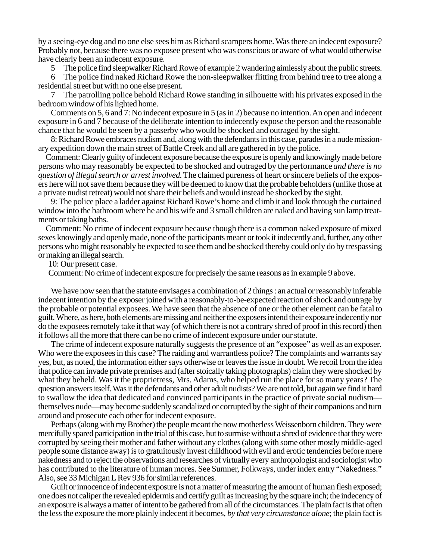by a seeing-eye dog and no one else sees him as Richard scampers home. Was there an indecent exposure? Probably not, because there was no exposee present who was conscious or aware of what would otherwise have clearly been an indecent exposure.

5 The police find sleepwalker Richard Rowe of example 2 wandering aimlessly about the public streets.

6 The police find naked Richard Rowe the non-sleepwalker flitting from behind tree to tree along a residential street but with no one else present.

7 The patrolling police behold Richard Rowe standing in silhouette with his privates exposed in the bedroom window of his lighted home.

Comments on 5, 6 and 7: No indecent exposure in 5 (as in 2) because no intention. An open and indecent exposure in 6 and 7 because of the deliberate intention to indecently expose the person and the reasonable chance that he would be seen by a passerby who would be shocked and outraged by the sight.

8: Richard Rowe embraces nudism and, along with the defendants in this case, parades in a nude missionary expedition down the main street of Battle Creek and all are gathered in by the police.

Comment: Clearly guilty of indecent exposure because the exposure is openly and knowingly made before persons who may reasonably be expected to be shocked and outraged by the performance *and there is no question of illegal search or arrest involved.* The claimed pureness of heart or sincere beliefs of the exposers here will not save them because they will be deemed to know that the probable beholders (unlike those at a private nudist retreat) would not share their beliefs and would instead be shocked by the sight.

9: The police place a ladder against Richard Rowe's home and climb it and look through the curtained window into the bathroom where he and his wife and 3 small children are naked and having sun lamp treatments or taking baths.

Comment: No crime of indecent exposure because though there is a common naked exposure of mixed sexes knowingly and openly made, none of the participants meant or took it indecently and, further, any other persons who might reasonably be expected to see them and be shocked thereby could only do by trespassing or making an illegal search.

10: Our present case.

Comment: No crime of indecent exposure for precisely the same reasons as in example 9 above.

We have now seen that the statute envisages a combination of 2 things : an actual or reasonably inferable indecent intention by the exposer joined with a reasonably-to-be-expected reaction of shock and outrage by the probable or potential exposees. We have seen that the absence of one or the other element can be fatal to guilt. Where, as here, both elements are missing and neither the exposers intend their exposure indecently nor do the exposees remotely take it that way (of which there is not a contrary shred of proof in this record) then it follows all the more that there can be no crime of indecent exposure under our statute.

The crime of indecent exposure naturally suggests the presence of an "exposee" as well as an exposer. Who were the exposees in this case? The raiding and warrantless police? The complaints and warrants say yes, but, as noted, the information either says otherwise or leaves the issue in doubt. We recoil from the idea that police can invade private premises and (after stoically taking photographs) claim they were shocked by what they beheld. Was it the proprietress, Mrs. Adams, who helped run the place for so many years? The question answers itself. Was it the defendants and other adult nudists? We are not told, but again we find it hard to swallow the idea that dedicated and convinced participants in the practice of private social nudism themselves nude—may become suddenly scandalized or corrupted by the sight of their companions and turn around and prosecute each other for indecent exposure.

Perhaps (along with my Brother) the people meant the now motherless Weissenborn children. They were mercifully spared participation in the trial of this case, but to surmise without a shred of evidence that they were corrupted by seeing their mother and father without any clothes (along with some other mostly middle-aged people some distance away) is to gratuitously invest childhood with evil and erotic tendencies before mere nakedness and to reject the observations and researches of virtually every anthropologist and sociologist who has contributed to the literature of human mores. See Sumner, Folkways, under index entry "Nakedness." Also, see 33 Michigan L Rev 936 for similar references.

Guilt or innocence of indecent exposure is not a matter of measuring the amount of human flesh exposed; one does not caliper the revealed epidermis and certify guilt as increasing by the square inch; the indecency of an exposure is always a matter of intent to be gathered from all of the circumstances. The plain fact is that often the less the exposure the more plainly indecent it becomes, *by that very circumstance alone*; the plain fact is